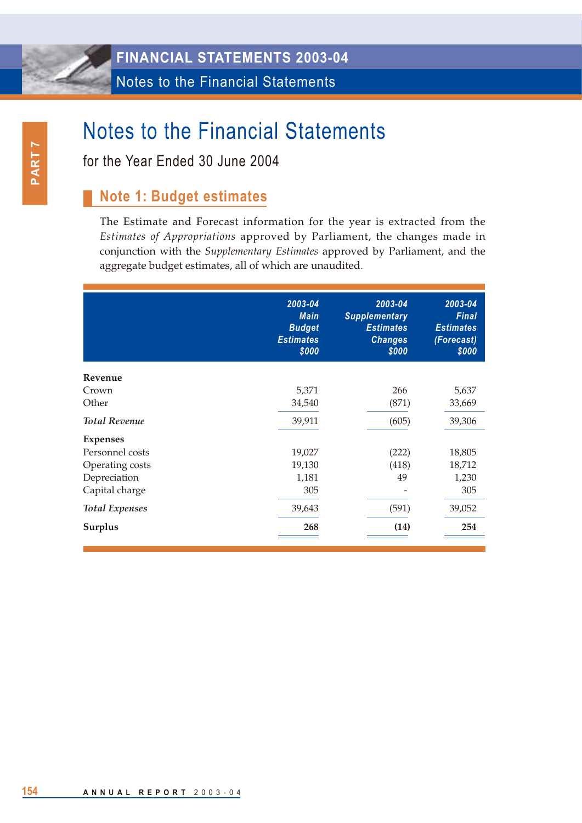for the Year Ended 30 June 2004

### **Note 1: Budget estimates**

The Estimate and Forecast information for the year is extracted from the *Estimates of Appropriations* approved by Parliament, the changes made in conjunction with the *Supplementary Estimates* approved by Parliament, and the aggregate budget estimates, all of which are unaudited.

|                       | 2003-04<br><b>Main</b><br><b>Budget</b><br><b>Estimates</b><br>\$000 | 2003-04<br><b>Supplementary</b><br><b>Estimates</b><br><b>Changes</b><br>\$000 | 2003-04<br><b>Final</b><br><b>Estimates</b><br>(Forecast)<br>\$000 |
|-----------------------|----------------------------------------------------------------------|--------------------------------------------------------------------------------|--------------------------------------------------------------------|
| Revenue               |                                                                      |                                                                                |                                                                    |
| Crown                 | 5,371                                                                | 266                                                                            | 5,637                                                              |
| Other                 | 34,540                                                               | (871)                                                                          | 33,669                                                             |
| <b>Total Revenue</b>  | 39,911                                                               | (605)                                                                          | 39,306                                                             |
| <b>Expenses</b>       |                                                                      |                                                                                |                                                                    |
| Personnel costs       | 19,027                                                               | (222)                                                                          | 18,805                                                             |
| Operating costs       | 19,130                                                               | (418)                                                                          | 18,712                                                             |
| Depreciation          | 1,181                                                                | 49                                                                             | 1,230                                                              |
| Capital charge        | 305                                                                  |                                                                                | 305                                                                |
| <b>Total Expenses</b> | 39,643                                                               | (591)                                                                          | 39,052                                                             |
| Surplus               | 268                                                                  | (14)                                                                           | 254                                                                |
|                       |                                                                      |                                                                                |                                                                    |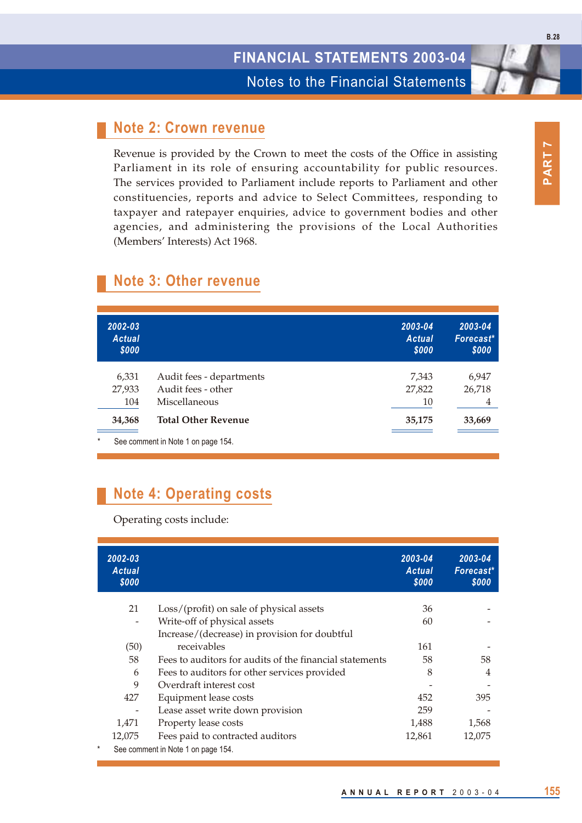#### **Note 2: Crown revenue**

Revenue is provided by the Crown to meet the costs of the Office in assisting Parliament in its role of ensuring accountability for public resources. The services provided to Parliament include reports to Parliament and other constituencies, reports and advice to Select Committees, responding to taxpayer and ratepayer enquiries, advice to government bodies and other agencies, and administering the provisions of the Local Authorities (Members' Interests) Act 1968.

| 2002-03<br><b>Actual</b><br>\$000 |                                    | 2003-04<br><b>Actual</b><br>\$000 | 2003-04<br>Forecast*<br>\$000 |
|-----------------------------------|------------------------------------|-----------------------------------|-------------------------------|
| 6,331                             | Audit fees - departments           | 7,343                             | 6,947                         |
| 27,933                            | Audit fees - other                 | 27,822                            | 26,718                        |
| 104                               | Miscellaneous                      | 10                                | 4                             |
| 34,368                            | <b>Total Other Revenue</b>         | 35,175                            | 33,669                        |
| $\star$                           | See comment in Note 1 on page 154. |                                   |                               |

#### **Note 3: Other revenue**

# **Note 4: Operating costs**

Operating costs include:

|   | 2002-03<br><b>Actual</b><br>\$000 |                                                         | 2003-04<br><b>Actual</b><br>\$000 | 2003-04<br>Forecast*<br>\$000 |
|---|-----------------------------------|---------------------------------------------------------|-----------------------------------|-------------------------------|
|   | 21                                | Loss/(profit) on sale of physical assets                | 36                                |                               |
|   | $\overline{\phantom{a}}$          | Write-off of physical assets                            | 60                                |                               |
|   |                                   | Increase/(decrease) in provision for doubtful           |                                   |                               |
|   | (50)                              | receivables                                             | 161                               |                               |
|   | 58                                | Fees to auditors for audits of the financial statements | 58                                | 58                            |
|   | 6                                 | Fees to auditors for other services provided            | 8                                 | $\overline{4}$                |
|   | 9                                 | Overdraft interest cost                                 |                                   |                               |
|   | 427                               | Equipment lease costs                                   | 452                               | 395                           |
|   |                                   | Lease asset write down provision                        | 259                               |                               |
|   | 1,471                             | Property lease costs                                    | 1,488                             | 1,568                         |
|   | 12,075                            | Fees paid to contracted auditors                        | 12,861                            | 12,075                        |
| * |                                   | See comment in Note 1 on page 154.                      |                                   |                               |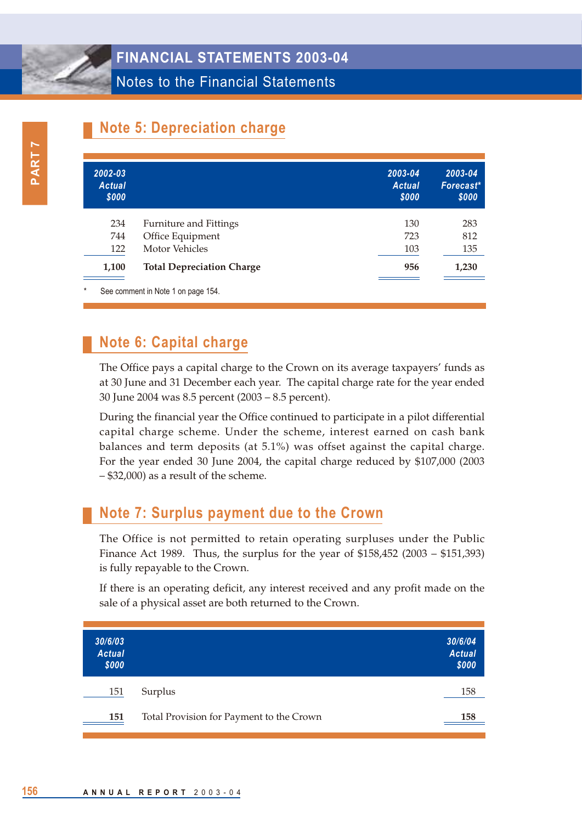Notes to the Financial Statements

# **Note 5: Depreciation charge**

| 2002-03<br><b>Actual</b><br>\$000 |                                    | 2003-04<br><b>Actual</b><br>\$000 | 2003-04<br>Forecast*<br>\$000 |
|-----------------------------------|------------------------------------|-----------------------------------|-------------------------------|
| 234                               | <b>Furniture and Fittings</b>      | 130                               | 283                           |
| 744                               | Office Equipment                   | 723                               | 812                           |
| 122                               | Motor Vehicles                     | 103                               | 135                           |
| 1,100                             | <b>Total Depreciation Charge</b>   | 956                               | 1,230                         |
| $\star$                           | See comment in Note 1 on page 154. |                                   |                               |

# **Note 6: Capital charge**

The Office pays a capital charge to the Crown on its average taxpayers' funds as at 30 June and 31 December each year. The capital charge rate for the year ended 30 June 2004 was 8.5 percent (2003 – 8.5 percent).

During the financial year the Office continued to participate in a pilot differential capital charge scheme. Under the scheme, interest earned on cash bank balances and term deposits (at 5.1%) was offset against the capital charge. For the year ended 30 June 2004, the capital charge reduced by \$107,000 (2003 – \$32,000) as a result of the scheme.

# **Note 7: Surplus payment due to the Crown**

The Office is not permitted to retain operating surpluses under the Public Finance Act 1989. Thus, the surplus for the year of \$158,452 (2003 – \$151,393) is fully repayable to the Crown.

If there is an operating deficit, any interest received and any profit made on the sale of a physical asset are both returned to the Crown.

| 30/6/03<br><b>Actual</b><br>\$000 |                                          | 30/6/04<br><b>Actual</b><br>\$000 |
|-----------------------------------|------------------------------------------|-----------------------------------|
| 151                               | Surplus                                  | 158                               |
| 151                               | Total Provision for Payment to the Crown | 158                               |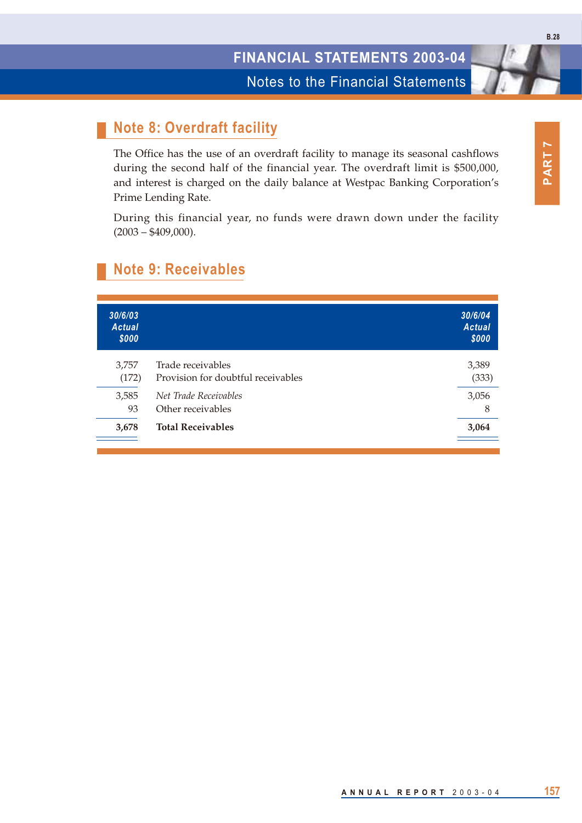Notes to the Financial Statements

# **Note 8: Overdraft facility**

The Office has the use of an overdraft facility to manage its seasonal cashflows during the second half of the financial year. The overdraft limit is \$500,000, and interest is charged on the daily balance at Westpac Banking Corporation's Prime Lending Rate.

During this financial year, no funds were drawn down under the facility  $(2003 - $409,000)$ .

| 30/6/03<br><b>Actual</b><br>\$000 |                                                         | 30/6/04<br><b>Actual</b><br>\$000 |
|-----------------------------------|---------------------------------------------------------|-----------------------------------|
| 3,757<br>(172)                    | Trade receivables<br>Provision for doubtful receivables | 3,389<br>(333)                    |
| 3,585<br>93                       | Net Trade Receivables<br>Other receivables              | 3,056<br>8                        |
| 3,678                             | <b>Total Receivables</b>                                | 3,064                             |
|                                   |                                                         |                                   |

### **Note 9: Receivables**

**PART 7**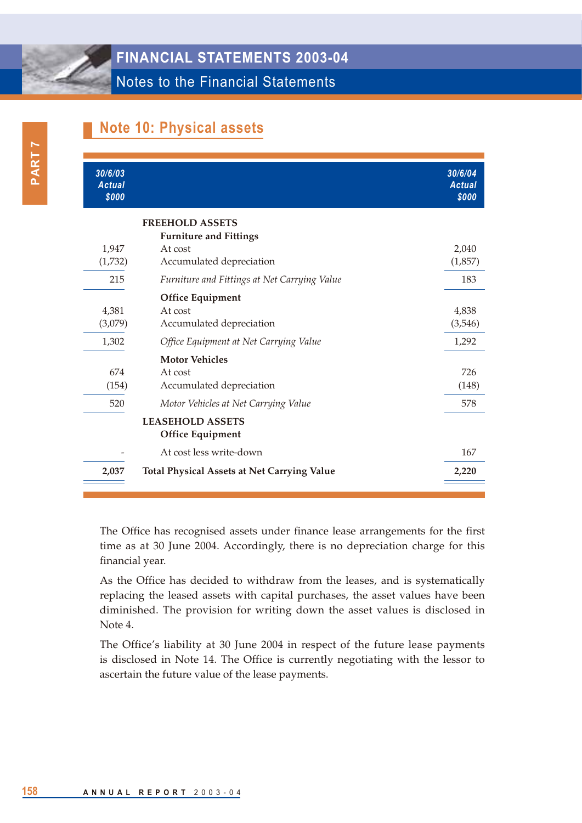### **Note 10: Physical assets**

| 30/6/03<br><b>Actual</b><br>\$000 |                                                                                                | 30/6/04<br><b>Actual</b><br>\$000 |
|-----------------------------------|------------------------------------------------------------------------------------------------|-----------------------------------|
| 1.947<br>(1,732)                  | <b>FREEHOLD ASSETS</b><br><b>Furniture and Fittings</b><br>At cost<br>Accumulated depreciation | 2,040<br>(1,857)                  |
| 215                               | Furniture and Fittings at Net Carrying Value                                                   | 183                               |
| 4,381<br>(3,079)                  | <b>Office Equipment</b><br>At cost<br>Accumulated depreciation                                 | 4,838<br>(3,546)                  |
| 1,302                             | Office Equipment at Net Carrying Value                                                         | 1,292                             |
| 674<br>(154)                      | <b>Motor Vehicles</b><br>At cost<br>Accumulated depreciation                                   | 726<br>(148)                      |
| 520                               | Motor Vehicles at Net Carrying Value                                                           | 578                               |
|                                   | <b>LEASEHOLD ASSETS</b><br><b>Office Equipment</b>                                             |                                   |
|                                   | At cost less write-down                                                                        | 167                               |
| 2,037                             | <b>Total Physical Assets at Net Carrying Value</b>                                             | 2,220                             |

The Office has recognised assets under finance lease arrangements for the first time as at 30 June 2004. Accordingly, there is no depreciation charge for this financial year.

As the Office has decided to withdraw from the leases, and is systematically replacing the leased assets with capital purchases, the asset values have been diminished. The provision for writing down the asset values is disclosed in Note 4.

The Office's liability at 30 June 2004 in respect of the future lease payments is disclosed in Note 14. The Office is currently negotiating with the lessor to ascertain the future value of the lease payments.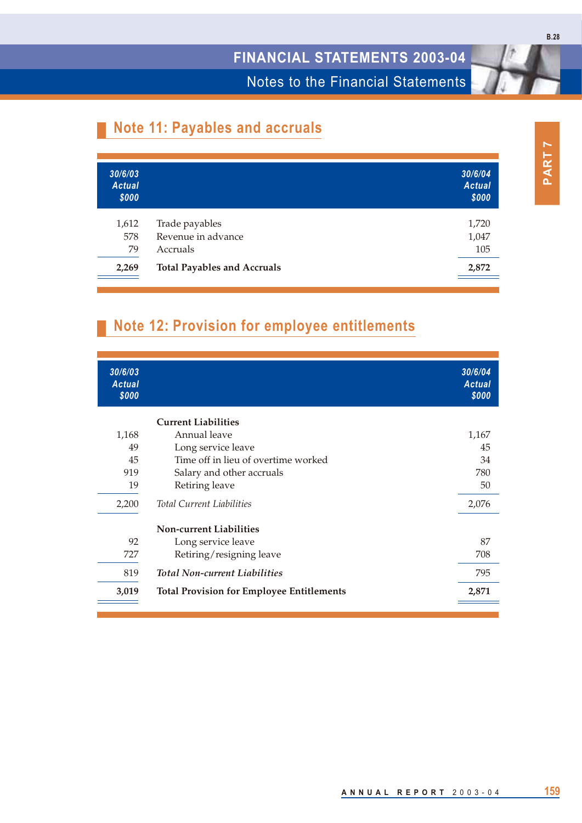Notes to the Financial Statements

# **Note 11: Payables and accruals**

| 1,720 |
|-------|
| 1,047 |
| 105   |
| 2,872 |
|       |

# **Note 12: Provision for employee entitlements**

| 30/6/03<br><b>Actual</b><br>\$000 |                                                  | 30/6/04<br><b>Actual</b><br>\$000 |
|-----------------------------------|--------------------------------------------------|-----------------------------------|
|                                   | <b>Current Liabilities</b>                       |                                   |
| 1,168                             | Annual leave                                     | 1,167                             |
| 49                                | Long service leave                               | 45                                |
| 45                                | Time off in lieu of overtime worked              | 34                                |
| 919                               | Salary and other accruals                        | 780                               |
| 19                                | Retiring leave                                   | 50                                |
| 2,200                             | <b>Total Current Liabilities</b>                 | 2,076                             |
|                                   | <b>Non-current Liabilities</b>                   |                                   |
| 92                                | Long service leave                               | 87                                |
| 727                               | Retiring/resigning leave                         | 708                               |
| 819                               | <b>Total Non-current Liabilities</b>             | 795                               |
| 3,019                             | <b>Total Provision for Employee Entitlements</b> | 2,871                             |
|                                   |                                                  |                                   |

**B.28**

**ANNUAL REPORT** 2003-04 **159**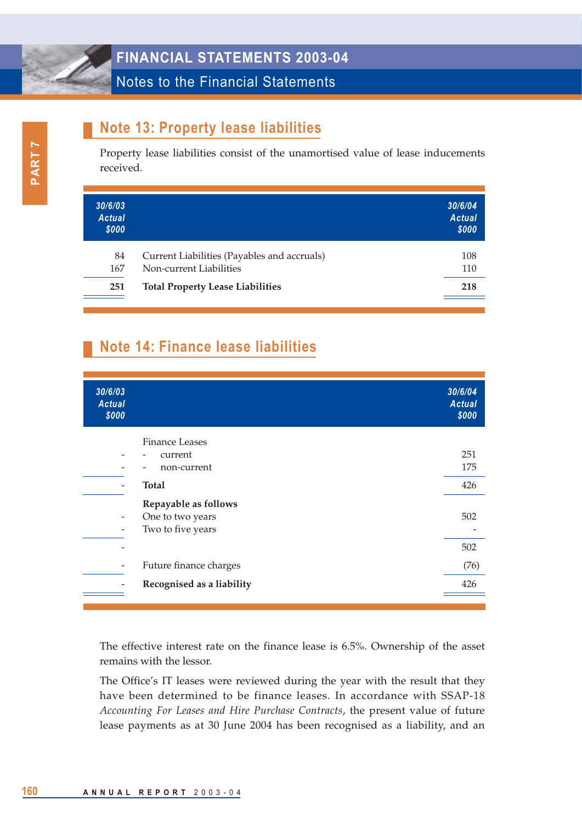#### Notes to the Financial Statements

## **Note 13: Property lease liabilities**

Property lease liabilities consist of the unamortised value of lease inducements received.

| 30/6/03<br><b>Actual</b><br>\$000 |                                             | 30/6/04<br><b>Actual</b><br>\$000 |
|-----------------------------------|---------------------------------------------|-----------------------------------|
| 84                                | Current Liabilities (Payables and accruals) | 108                               |
| 167                               | Non-current Liabilities                     | 110                               |
| 251                               | <b>Total Property Lease Liabilities</b>     | 218                               |

# **Note 14: Finance lease liabilities**

| 30/6/03<br><b>Actual</b><br>\$000 |                           | 30/6/04<br><b>Actual</b><br>\$000 |
|-----------------------------------|---------------------------|-----------------------------------|
|                                   | <b>Finance Leases</b>     |                                   |
|                                   | current                   | 251                               |
|                                   | non-current               | 175                               |
|                                   | <b>Total</b>              | 426                               |
|                                   | Repayable as follows      |                                   |
| $\overline{\phantom{a}}$          | One to two years          | 502                               |
|                                   | Two to five years         |                                   |
|                                   |                           | 502                               |
|                                   | Future finance charges    | (76)                              |
|                                   | Recognised as a liability | 426                               |
|                                   |                           |                                   |

The effective interest rate on the finance lease is 6.5%. Ownership of the asset remains with the lessor.

The Office's IT leases were reviewed during the year with the result that they have been determined to be finance leases. In accordance with SSAP-18 *Accounting For Leases and Hire Purchase Contracts*, the present value of future lease payments as at 30 June 2004 has been recognised as a liability, and an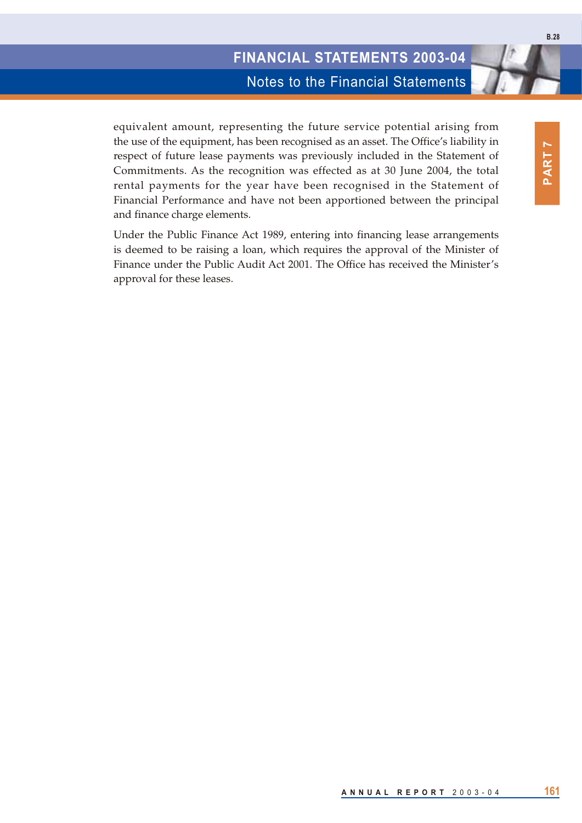Notes to the Financial Statements

equivalent amount, representing the future service potential arising from the use of the equipment, has been recognised as an asset. The Office's liability in respect of future lease payments was previously included in the Statement of Commitments. As the recognition was effected as at 30 June 2004, the total rental payments for the year have been recognised in the Statement of Financial Performance and have not been apportioned between the principal and finance charge elements.

Under the Public Finance Act 1989, entering into financing lease arrangements is deemed to be raising a loan, which requires the approval of the Minister of Finance under the Public Audit Act 2001. The Office has received the Minister's approval for these leases.

**PART 7**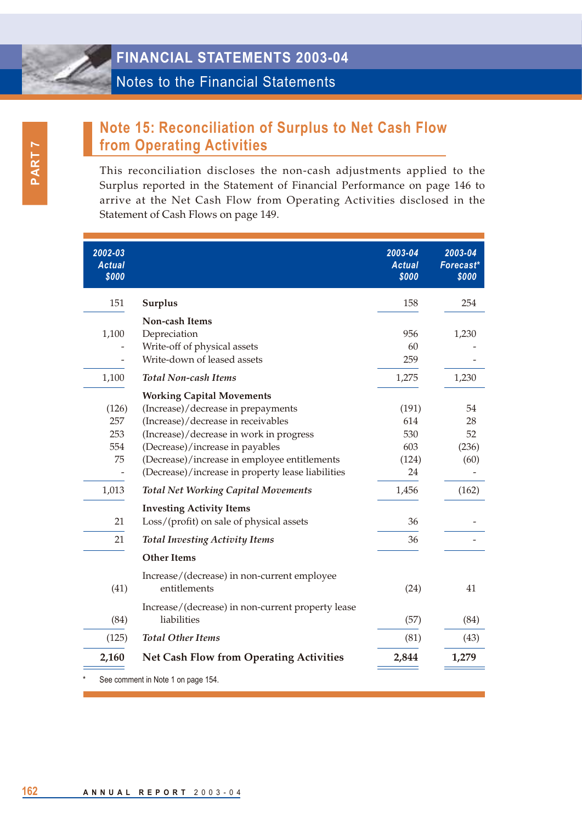# **Note 15: Reconciliation of Surplus to Net Cash Flow from Operating Activities**

This reconciliation discloses the non-cash adjustments applied to the Surplus reported in the Statement of Financial Performance on page 146 to arrive at the Net Cash Flow from Operating Activities disclosed in the Statement of Cash Flows on page 149.

| 2002-03<br><b>Actual</b><br>\$000 |                                                   | 2003-04<br><b>Actual</b><br>\$000 | 2003-04<br>Forecast*<br>\$000 |
|-----------------------------------|---------------------------------------------------|-----------------------------------|-------------------------------|
| 151                               | <b>Surplus</b>                                    | 158                               | 254                           |
|                                   | Non-cash Items                                    |                                   |                               |
| 1,100                             | Depreciation                                      | 956                               | 1,230                         |
|                                   | Write-off of physical assets                      | 60                                |                               |
|                                   | Write-down of leased assets                       | 259                               |                               |
| 1,100                             | <b>Total Non-cash Items</b>                       | 1,275                             | 1,230                         |
|                                   | <b>Working Capital Movements</b>                  |                                   |                               |
| (126)                             | (Increase)/decrease in prepayments                | (191)                             | 54                            |
| 257                               | (Increase)/decrease in receivables                | 614                               | 28                            |
| 253                               | (Increase)/decrease in work in progress           | 530                               | 52                            |
| 554                               | (Decrease)/increase in payables                   | 603                               | (236)                         |
| 75                                | (Decrease)/increase in employee entitlements      | (124)                             | (60)                          |
|                                   | (Decrease)/increase in property lease liabilities | 24                                |                               |
| 1,013                             | <b>Total Net Working Capital Movements</b>        | 1,456                             | (162)                         |
|                                   | <b>Investing Activity Items</b>                   |                                   |                               |
| 21                                | Loss/(profit) on sale of physical assets          | 36                                |                               |
| 21                                | <b>Total Investing Activity Items</b>             | 36                                |                               |
|                                   | <b>Other Items</b>                                |                                   |                               |
|                                   | Increase/(decrease) in non-current employee       |                                   |                               |
| (41)                              | entitlements                                      | (24)                              | 41                            |
|                                   | Increase/(decrease) in non-current property lease |                                   |                               |
| (84)                              | liabilities                                       | (57)                              | (84)                          |
| (125)                             | <b>Total Other Items</b>                          | (81)                              | (43)                          |
| 2,160                             | <b>Net Cash Flow from Operating Activities</b>    | 2,844                             | 1,279                         |
|                                   | See comment in Note 1 on page 154.                |                                   |                               |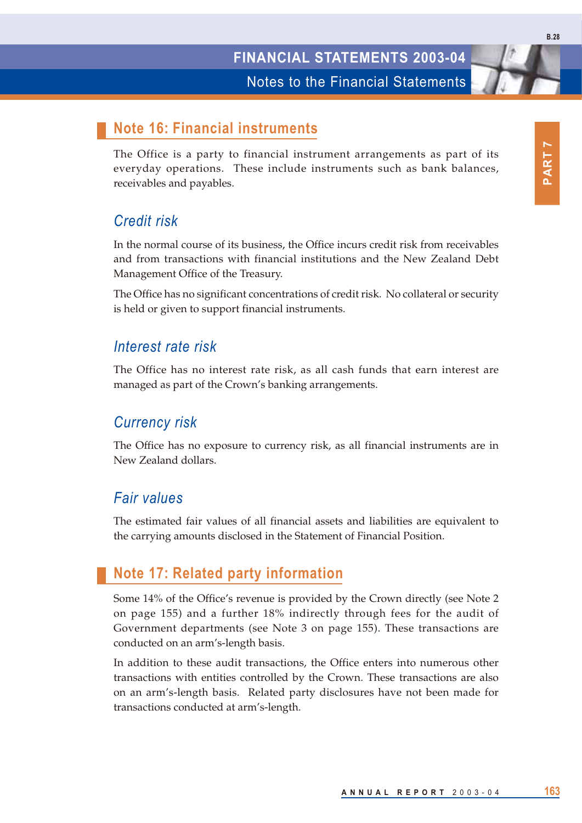#### **Note 16: Financial instruments**

The Office is a party to financial instrument arrangements as part of its everyday operations. These include instruments such as bank balances, receivables and payables.

#### *Credit risk*

In the normal course of its business, the Office incurs credit risk from receivables and from transactions with financial institutions and the New Zealand Debt Management Office of the Treasury.

The Office has no significant concentrations of credit risk. No collateral or security is held or given to support financial instruments.

#### *Interest rate risk*

The Office has no interest rate risk, as all cash funds that earn interest are managed as part of the Crown's banking arrangements.

#### *Currency risk*

The Office has no exposure to currency risk, as all financial instruments are in New Zealand dollars.

#### *Fair values*

The estimated fair values of all financial assets and liabilities are equivalent to the carrying amounts disclosed in the Statement of Financial Position.

#### **Note 17: Related party information**

Some 14% of the Office's revenue is provided by the Crown directly (see Note 2 on page 155) and a further 18% indirectly through fees for the audit of Government departments (see Note 3 on page 155). These transactions are conducted on an arm's-length basis.

In addition to these audit transactions, the Office enters into numerous other transactions with entities controlled by the Crown. These transactions are also on an arm's-length basis. Related party disclosures have not been made for transactions conducted at arm's-length.

**B.28**